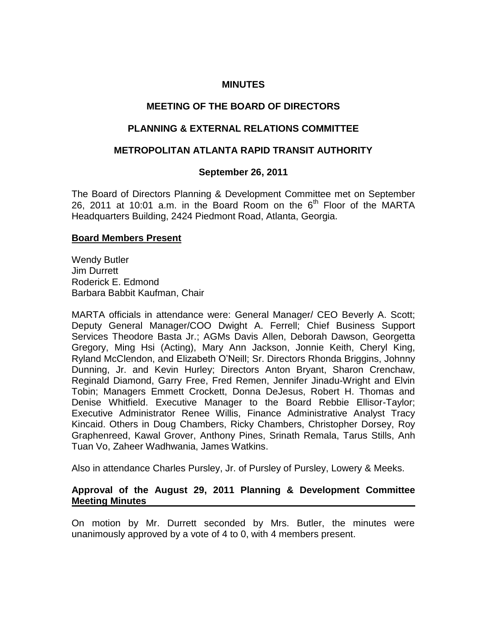## **MINUTES**

# **MEETING OF THE BOARD OF DIRECTORS**

# **PLANNING & EXTERNAL RELATIONS COMMITTEE**

## **METROPOLITAN ATLANTA RAPID TRANSIT AUTHORITY**

## **September 26, 2011**

The Board of Directors Planning & Development Committee met on September 26, 2011 at 10:01 a.m. in the Board Room on the  $6<sup>th</sup>$  Floor of the MARTA Headquarters Building, 2424 Piedmont Road, Atlanta, Georgia.

#### **Board Members Present**

Wendy Butler Jim Durrett Roderick E. Edmond Barbara Babbit Kaufman, Chair

MARTA officials in attendance were: General Manager/ CEO Beverly A. Scott; Deputy General Manager/COO Dwight A. Ferrell; Chief Business Support Services Theodore Basta Jr.; AGMs Davis Allen, Deborah Dawson, Georgetta Gregory, Ming Hsi (Acting), Mary Ann Jackson, Jonnie Keith, Cheryl King, Ryland McClendon, and Elizabeth O'Neill; Sr. Directors Rhonda Briggins, Johnny Dunning, Jr. and Kevin Hurley; Directors Anton Bryant, Sharon Crenchaw, Reginald Diamond, Garry Free, Fred Remen, Jennifer Jinadu-Wright and Elvin Tobin; Managers Emmett Crockett, Donna DeJesus, Robert H. Thomas and Denise Whitfield. Executive Manager to the Board Rebbie Ellisor-Taylor; Executive Administrator Renee Willis, Finance Administrative Analyst Tracy Kincaid. Others in Doug Chambers, Ricky Chambers, Christopher Dorsey, Roy Graphenreed, Kawal Grover, Anthony Pines, Srinath Remala, Tarus Stills, Anh Tuan Vo, Zaheer Wadhwania, James Watkins.

Also in attendance Charles Pursley, Jr. of Pursley of Pursley, Lowery & Meeks.

## **Approval of the August 29, 2011 Planning & Development Committee Meeting Minutes**

On motion by Mr. Durrett seconded by Mrs. Butler, the minutes were unanimously approved by a vote of 4 to 0, with 4 members present.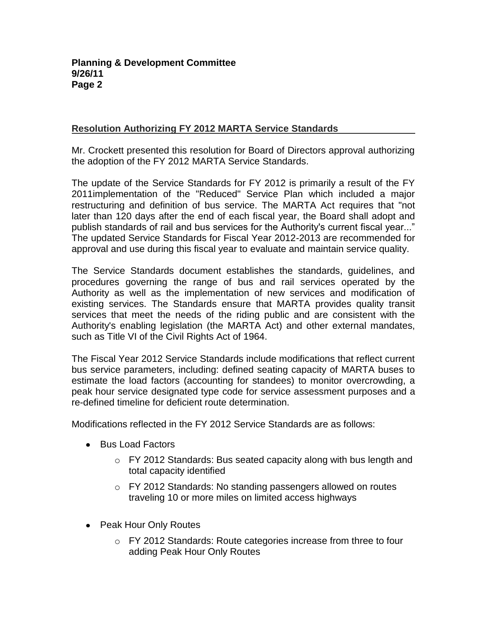# **Resolution Authorizing FY 2012 MARTA Service Standards**

Mr. Crockett presented this resolution for Board of Directors approval authorizing the adoption of the FY 2012 MARTA Service Standards.

The update of the Service Standards for FY 2012 is primarily a result of the FY 2011implementation of the "Reduced" Service Plan which included a major restructuring and definition of bus service. The MARTA Act requires that "not later than 120 days after the end of each fiscal year, the Board shall adopt and publish standards of rail and bus services for the Authority's current fiscal year..." The updated Service Standards for Fiscal Year 2012-2013 are recommended for approval and use during this fiscal year to evaluate and maintain service quality.

The Service Standards document establishes the standards, guidelines, and procedures governing the range of bus and rail services operated by the Authority as well as the implementation of new services and modification of existing services. The Standards ensure that MARTA provides quality transit services that meet the needs of the riding public and are consistent with the Authority's enabling legislation (the MARTA Act) and other external mandates, such as Title VI of the Civil Rights Act of 1964.

The Fiscal Year 2012 Service Standards include modifications that reflect current bus service parameters, including: defined seating capacity of MARTA buses to estimate the load factors (accounting for standees) to monitor overcrowding, a peak hour service designated type code for service assessment purposes and a re-defined timeline for deficient route determination.

Modifications reflected in the FY 2012 Service Standards are as follows:

- Bus Load Factors
	- $\circ$  FY 2012 Standards: Bus seated capacity along with bus length and total capacity identified
	- o FY 2012 Standards: No standing passengers allowed on routes traveling 10 or more miles on limited access highways
- Peak Hour Only Routes
	- o FY 2012 Standards: Route categories increase from three to four adding Peak Hour Only Routes